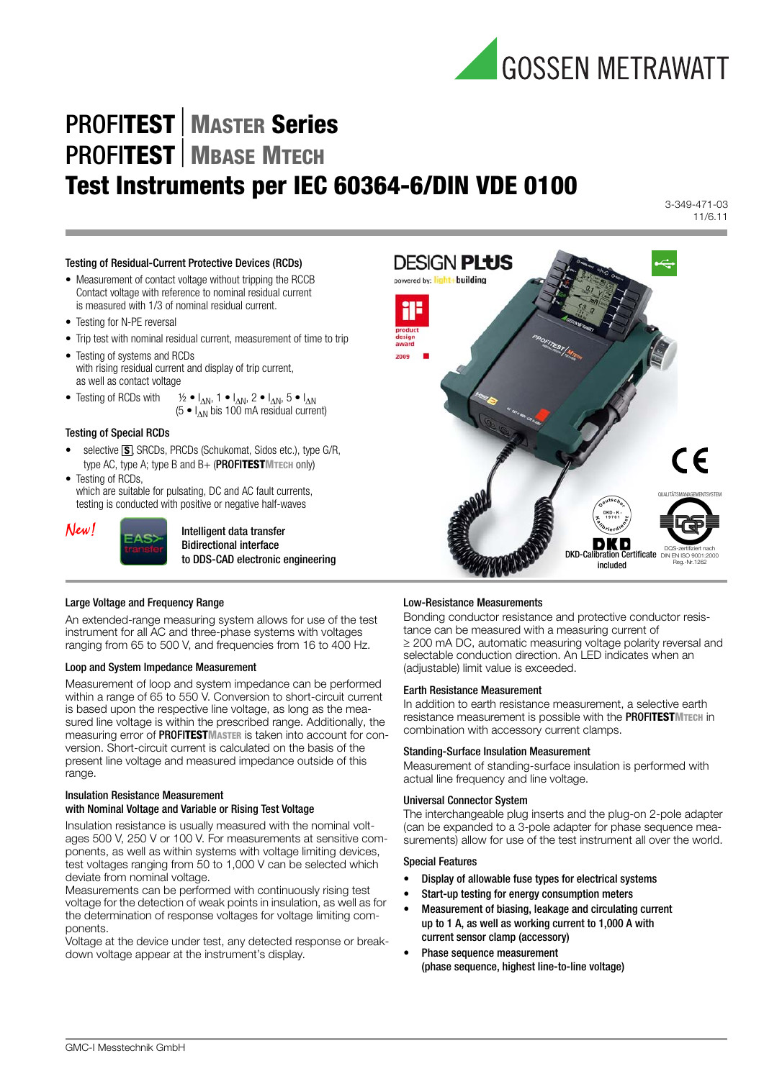

## PROFI**TESTMASTER Series PROFITEST** MBASE MTECH **Test Instruments per IEC 60364-6/DIN VDE 0100**

3-349-471-03 11/6.11

#### Testing of Residual-Current Protective Devices (RCDs)

- Measurement of contact voltage without tripping the RCCB Contact voltage with reference to nominal residual current is measured with 1/3 of nominal residual current.
- Testing for N-PE reversal
- Trip test with nominal residual current, measurement of time to trip
- Testing of systems and RCDs with rising residual current and display of trip current, as well as contact voltage
- Testing of RCDs with  $\frac{1}{2} \cdot I_{\Delta N}$ , 1  $I_{\Delta N}$ , 2  $I_{\Delta N}$ , 5  $I_{\Delta N}$  $(5 \bullet I_{\text{AN}}^{\text{av}})$  bis 100 mA residual current)
- Testing of Special RCDs
- selective **S**, SRCDs, PRCDs (Schukomat, Sidos etc.), type G/R, type AC, type A; type B and B+ (PROFI**TESTMTECH** only)
- Testing of RCDs, which are suitable for pulsating, DC and AC fault currents,

testing is conducted with positive or negative half-waves



 $New!$   $\Box$ Bidirectional interface to DDS-CAD electronic engineering

# DESIGN **PLUS** powered by: light+building QUALITÄTSMANAGEMENTSYSTEM DQS-zertifiziert nach<br>DIN EN ISO 9001:2000 DIN EN ISO 9001:2000 Reg.-Nr. 1262 included

#### Large Voltage and Frequency Range

An extended-range measuring system allows for use of the test instrument for all AC and three-phase systems with voltages ranging from 65 to 500 V, and frequencies from 16 to 400 Hz.

#### Loop and System Impedance Measurement

Measurement of loop and system impedance can be performed within a range of 65 to 550 V. Conversion to short-circuit current is based upon the respective line voltage, as long as the measured line voltage is within the prescribed range. Additionally, the measuring error of PROFI**TESTMASTER** is taken into account for conversion. Short-circuit current is calculated on the basis of the present line voltage and measured impedance outside of this range.

## Insulation Resistance Measurement

#### with Nominal Voltage and Variable or Rising Test Voltage

Insulation resistance is usually measured with the nominal voltages 500 V, 250 V or 100 V. For measurements at sensitive components, as well as within systems with voltage limiting devices, test voltages ranging from 50 to 1,000 V can be selected which deviate from nominal voltage.

Measurements can be performed with continuously rising test voltage for the detection of weak points in insulation, as well as for the determination of response voltages for voltage limiting components.

Voltage at the device under test, any detected response or breakdown voltage appear at the instrument's display.

#### Low-Resistance Measurements

Bonding conductor resistance and protective conductor resistance can be measured with a measuring current of  $\geq$  200 mA DC, automatic measuring voltage polarity reversal and selectable conduction direction. An LED indicates when an (adjustable) limit value is exceeded.

#### Earth Resistance Measurement

In addition to earth resistance measurement, a selective earth resistance measurement is possible with the PROFI**TESTMTECH** in combination with accessory current clamps.

#### Standing-Surface Insulation Measurement

Measurement of standing-surface insulation is performed with actual line frequency and line voltage.

#### Universal Connector System

The interchangeable plug inserts and the plug-on 2-pole adapter (can be expanded to a 3-pole adapter for phase sequence measurements) allow for use of the test instrument all over the world.

#### Special Features

- Display of allowable fuse types for electrical systems
- Start-up testing for energy consumption meters
- Measurement of biasing, leakage and circulating current up to 1 A, as well as working current to 1,000 A with current sensor clamp (accessory)
- Phase sequence measurement (phase sequence, highest line-to-line voltage)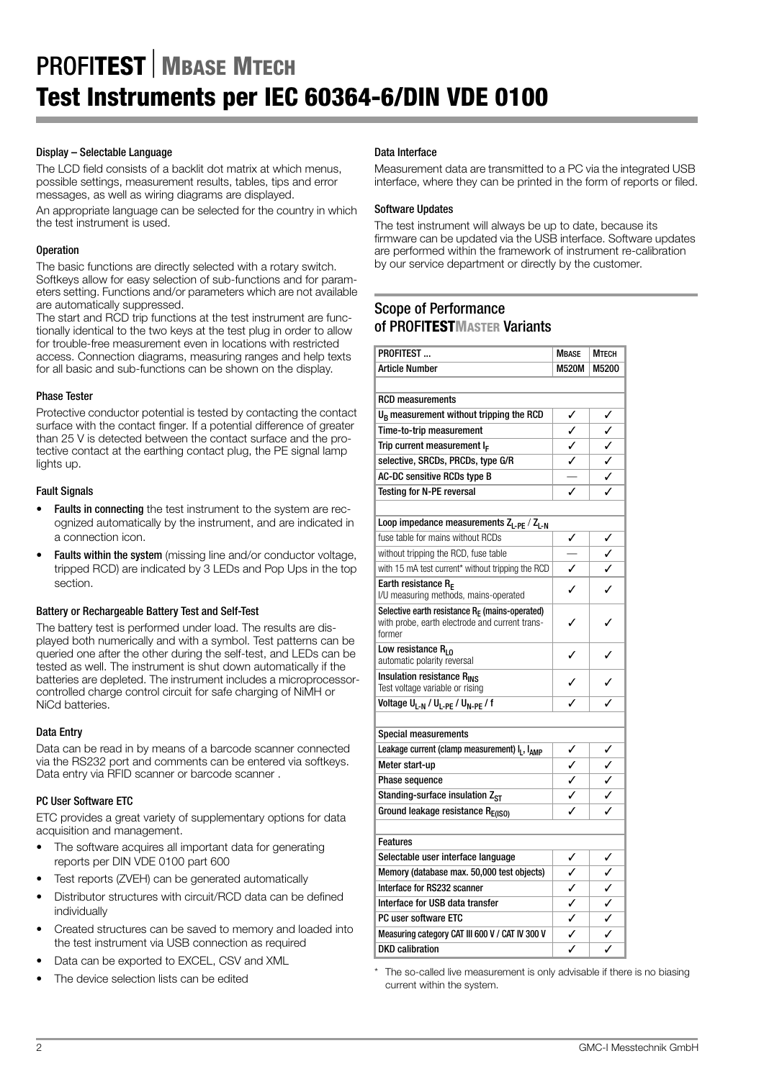### Display – Selectable Language

The LCD field consists of a backlit dot matrix at which menus, possible settings, measurement results, tables, tips and error messages, as well as wiring diagrams are displayed.

An appropriate language can be selected for the country in which the test instrument is used.

### **Operation**

The basic functions are directly selected with a rotary switch. Softkeys allow for easy selection of sub-functions and for parameters setting. Functions and/or parameters which are not available are automatically suppressed.

The start and RCD trip functions at the test instrument are functionally identical to the two keys at the test plug in order to allow for trouble-free measurement even in locations with restricted access. Connection diagrams, measuring ranges and help texts for all basic and sub-functions can be shown on the display.

### Phase Tester

Protective conductor potential is tested by contacting the contact surface with the contact finger. If a potential difference of greater than 25 V is detected between the contact surface and the protective contact at the earthing contact plug, the PE signal lamp lights up.

### Fault Signals

- Faults in connecting the test instrument to the system are recognized automatically by the instrument, and are indicated in a connection icon.
- Faults within the system (missing line and/or conductor voltage, tripped RCD) are indicated by 3 LEDs and Pop Ups in the top section.

#### Battery or Rechargeable Battery Test and Self-Test

The battery test is performed under load. The results are displayed both numerically and with a symbol. Test patterns can be queried one after the other during the self-test, and LEDs can be tested as well. The instrument is shut down automatically if the batteries are depleted. The instrument includes a microprocessorcontrolled charge control circuit for safe charging of NiMH or NiCd batteries.

#### Data Entry

Data can be read in by means of a barcode scanner connected via the RS232 port and comments can be entered via softkeys. Data entry via RFID scanner or barcode scanner .

#### PC User Software ETC

ETC provides a great variety of supplementary options for data acquisition and management.

- The software acquires all important data for generating reports per DIN VDE 0100 part 600
- Test reports (ZVEH) can be generated automatically
- Distributor structures with circuit/RCD data can be defined **individually**
- Created structures can be saved to memory and loaded into the test instrument via USB connection as required
- Data can be exported to EXCEL, CSV and XML
- The device selection lists can be edited

#### Data Interface

Measurement data are transmitted to a PC via the integrated USB interface, where they can be printed in the form of reports or filed.

#### Software Updates

The test instrument will always be up to date, because its firmware can be updated via the USB interface. Software updates are performed within the framework of instrument re-calibration by our service department or directly by the customer.

## Scope of Performance of PROFI**TESTMASTER** Variants

| PROFITEST                                                                                           | <b>MBASE</b>                 | Мтесн |
|-----------------------------------------------------------------------------------------------------|------------------------------|-------|
| <b>Article Number</b>                                                                               | <b>M520M</b>                 | M5200 |
|                                                                                                     |                              |       |
| <b>RCD</b> measurements                                                                             |                              |       |
| U <sub>B</sub> measurement without tripping the RCD                                                 |                              |       |
| Time-to-trip measurement                                                                            | $\checkmark$                 |       |
| Trip current measurement $I_F$                                                                      | $\frac{1}{2}$                |       |
| selective, SRCDs, PRCDs, type G/R                                                                   |                              |       |
| AC-DC sensitive RCDs type B                                                                         |                              |       |
| Testing for N-PE reversal                                                                           |                              |       |
|                                                                                                     |                              |       |
| Loop impedance measurements $Z_{L-PE} / Z_{L-N}$                                                    |                              |       |
| fuse table for mains without RCDs                                                                   | ✓                            |       |
| without tripping the RCD, fuse table                                                                |                              |       |
| with 15 mA test current* without tripping the RCD                                                   | $\overline{\checkmark}$      |       |
| Earth resistance RE                                                                                 | ✓                            |       |
| I/U measuring methods, mains-operated                                                               |                              |       |
| Selective earth resistance $R_F$ (mains-operated)<br>with probe, earth electrode and current trans- | ✓                            |       |
| former                                                                                              |                              |       |
| Low resistance $R_{10}$                                                                             | ✓                            |       |
| automatic polarity reversal                                                                         |                              |       |
| Insulation resistance R <sub>INS</sub>                                                              | ℐ                            |       |
| Test voltage variable or rising                                                                     |                              |       |
| Voltage U <sub>L-N</sub> / U <sub>L-PE</sub> / U <sub>N-PE</sub> / f                                |                              |       |
|                                                                                                     |                              |       |
| <b>Special measurements</b>                                                                         |                              |       |
| Leakage current (clamp measurement) I <sub>L</sub> , I <sub>AMP</sub>                               | $\frac{1}{2}$                |       |
| Meter start-up                                                                                      |                              |       |
| <b>Phase sequence</b>                                                                               | $\frac{1}{2}$                |       |
| Standing-surface insulation Z <sub>ST</sub>                                                         |                              |       |
| Ground leakage resistance RE(ISO)                                                                   |                              |       |
| <b>Features</b>                                                                                     |                              |       |
|                                                                                                     | ✓                            |       |
| Selectable user interface language<br>Memory (database max. 50,000 test objects)                    | ✓                            |       |
| Interface for RS232 scanner                                                                         | ✓                            |       |
| Interface for USB data transfer                                                                     |                              |       |
|                                                                                                     | ✓<br>$\overline{\checkmark}$ |       |
| PC user software ETC                                                                                |                              |       |
| Measuring category CAT III 600 V / CAT IV 300 V                                                     | ✓                            |       |
| <b>DKD</b> calibration                                                                              |                              |       |

The so-called live measurement is only advisable if there is no biasing current within the system.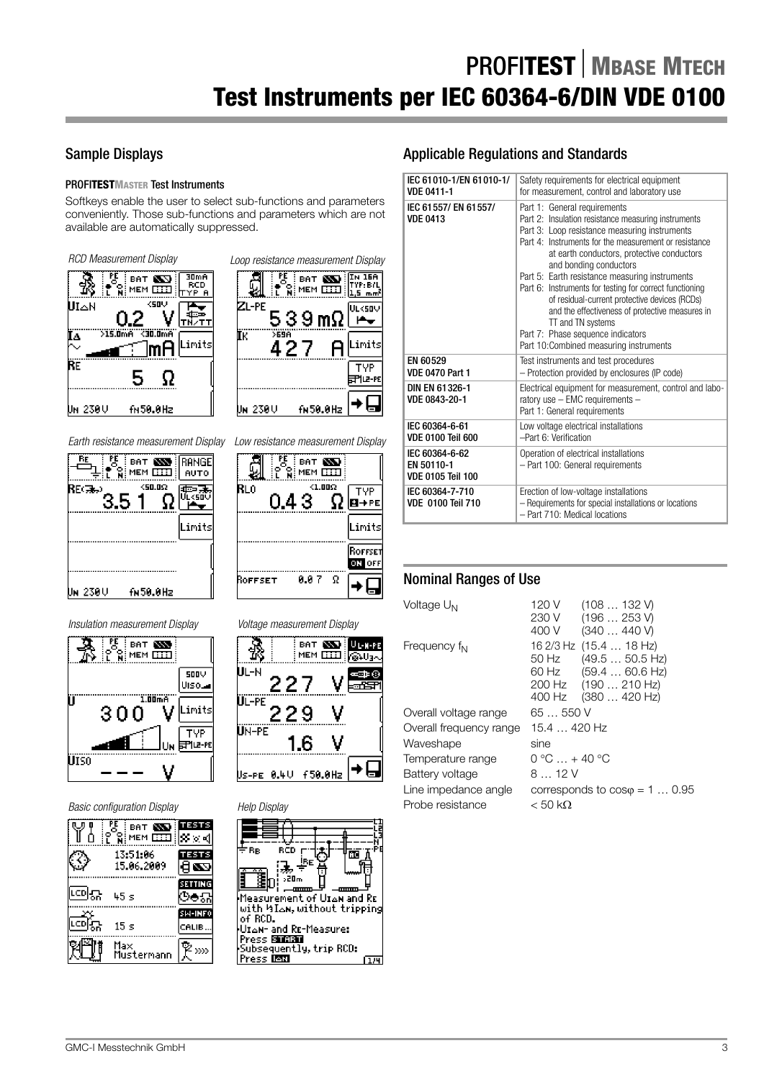## Sample Displays

## PROFI**TESTMASTER** Test Instruments

Softkeys enable the user to select sub-functions and parameters conveniently. Those sub-functions and parameters which are not available are automatically suppressed.











| ाः<br>प<br><b>BAT</b><br>: MEM | EST ES                    |                                      |
|--------------------------------|---------------------------|--------------------------------------|
| 13:51:06<br>15.06.2009         | TESTS                     | ÷вв<br>B)                            |
| 따미묘<br>45 s                    | <b>SETTING</b>            | þ,<br>Measurem                       |
| LCD].<br>$15 \mathrm{~s}$      | <b>SIM-INFO</b><br>CALIB. | with hIar<br>of RCD.<br>Uz∆N- and    |
| Maxi<br>Mustermann             |                           | Press Ent<br>Subsequer<br>Press ISIX |









## Applicable Regulations and Standards

| IEC 61010-1/EN 61010-1/<br><b>VDE 0411-1</b>             | Safety requirements for electrical equipment<br>for measurement, control and laboratory use                                                                                                                                                                                                                                                                                                                                                                                                                                                                                                |  |  |  |
|----------------------------------------------------------|--------------------------------------------------------------------------------------------------------------------------------------------------------------------------------------------------------------------------------------------------------------------------------------------------------------------------------------------------------------------------------------------------------------------------------------------------------------------------------------------------------------------------------------------------------------------------------------------|--|--|--|
| IEC 61557/EN 61557/<br><b>VDE 0413</b>                   | Part 1: General requirements<br>Part 2: Insulation resistance measuring instruments<br>Part 3: Loop resistance measuring instruments<br>Part 4: Instruments for the measurement or resistance<br>at earth conductors, protective conductors<br>and bonding conductors<br>Part 5: Earth resistance measuring instruments<br>Part 6: Instruments for testing for correct functioning<br>of residual-current protective devices (RCDs)<br>and the effectiveness of protective measures in<br>TT and TN systems<br>Part 7: Phase sequence indicators<br>Part 10:Combined measuring instruments |  |  |  |
| EN 60529<br><b>VDE 0470 Part 1</b>                       | Test instruments and test procedures<br>- Protection provided by enclosures (IP code)                                                                                                                                                                                                                                                                                                                                                                                                                                                                                                      |  |  |  |
| DIN EN 61326-1<br>VDE 0843-20-1                          | Electrical equipment for measurement, control and labo-<br>ratory use - EMC requirements -<br>Part 1: General requirements                                                                                                                                                                                                                                                                                                                                                                                                                                                                 |  |  |  |
| IEC 60364-6-61<br><b>VDE 0100 Teil 600</b>               | Low voltage electrical installations<br>-Part 6: Verification                                                                                                                                                                                                                                                                                                                                                                                                                                                                                                                              |  |  |  |
| IEC 60364-6-62<br>EN 50110-1<br><b>VDE 0105 Teil 100</b> | Operation of electrical installations<br>- Part 100: General requirements                                                                                                                                                                                                                                                                                                                                                                                                                                                                                                                  |  |  |  |
| IEC 60364-7-710<br><b>VDE 0100 Teil 710</b>              | Erection of low-voltage installations<br>- Requirements for special installations or locations<br>- Part 710: Medical locations                                                                                                                                                                                                                                                                                                                                                                                                                                                            |  |  |  |

## Nominal Ranges of Use

| Voltage U <sub>N</sub>   | 120 V<br>(108132)<br>(196253V)<br>230 V<br>400 V<br>(340  440 V)                                                                        |
|--------------------------|-----------------------------------------------------------------------------------------------------------------------------------------|
| Frequency f <sub>N</sub> | 16 2/3 Hz (15.4  18 Hz)<br>(49.550.5 Hz)<br>50 Hz<br>$(59.460.6 \text{ Hz})$<br>60 Hz<br>200 Hz<br>(190210 Hz)<br>400 Hz<br>(380420 Hz) |
| Overall voltage range    | 65  550 V                                                                                                                               |
| Overall frequency range  | 15.4  420 Hz                                                                                                                            |
| Waveshape                | sine                                                                                                                                    |
| Temperature range        | $0 °C  + 40 °C$                                                                                                                         |
| Battery voltage          | 812V                                                                                                                                    |
| Line impedance angle     | corresponds to $cos\varphi = 1 \dots 0.95$                                                                                              |
| Probe resistance         | $<$ 50 kΩ                                                                                                                               |
|                          |                                                                                                                                         |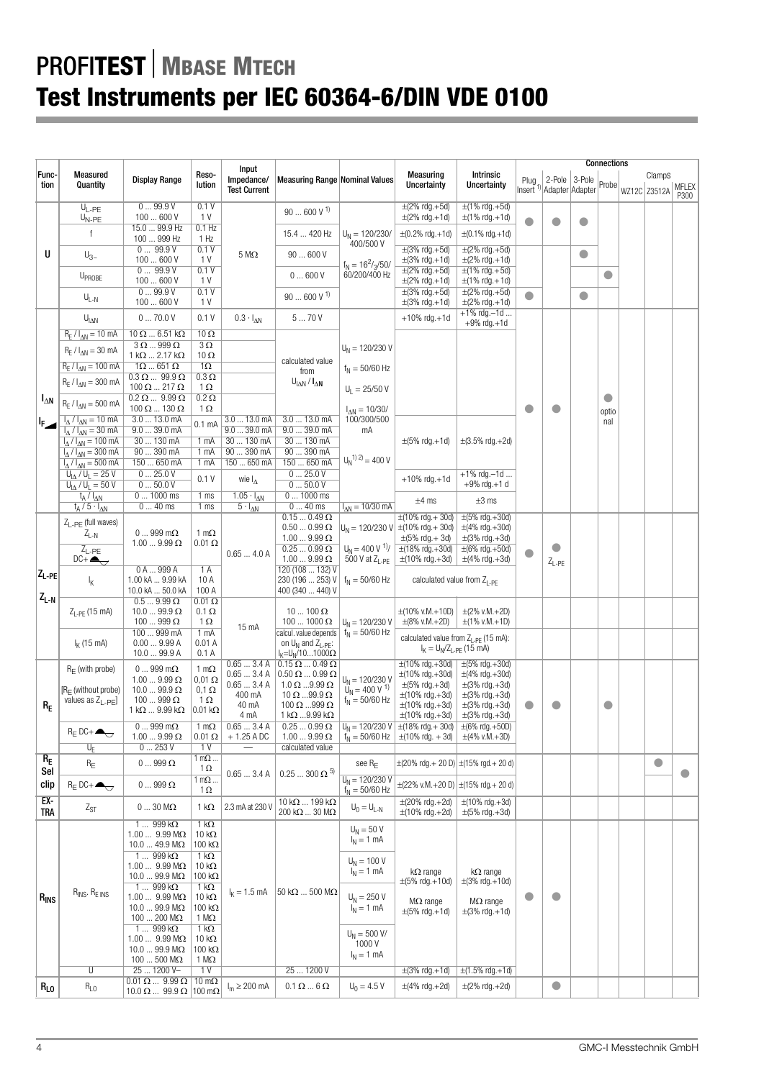|                                             |                                        |                                                         |                                        | Input                     |                                                           |                                                        |                                                                                           |                                                    |                              |                 |           | <b>Connections</b> |                    |           |
|---------------------------------------------|----------------------------------------|---------------------------------------------------------|----------------------------------------|---------------------------|-----------------------------------------------------------|--------------------------------------------------------|-------------------------------------------------------------------------------------------|----------------------------------------------------|------------------------------|-----------------|-----------|--------------------|--------------------|-----------|
| Func-                                       | Measured                               | <b>Display Range</b>                                    | Reso-                                  | Impedance/                | <b>Measuring Range Nominal Values</b>                     |                                                        | Measuring                                                                                 | <b>Intrinsic</b>                                   |                              | 2-Pole 3-Pole   |           |                    | ClampS             |           |
| tion                                        | Quantity                               |                                                         | lution                                 | <b>Test Current</b>       |                                                           |                                                        | Uncertainty                                                                               | <b>Uncertainty</b>                                 | Plug<br>Inserť <sup>1)</sup> | Adapter Adapter |           | Probe              | WZ12C Z3512A MFLEX |           |
|                                             |                                        |                                                         |                                        |                           |                                                           |                                                        |                                                                                           |                                                    |                              |                 |           |                    |                    | P300      |
|                                             | $\overline{U_{L-PE}}$                  | 099.9V                                                  | 0.1V                                   |                           | $90600V$ <sup>1)</sup>                                    |                                                        | $\pm$ (2% rdg.+5d)                                                                        | $\pm$ (1% rdg.+5d)                                 |                              |                 |           |                    |                    |           |
|                                             | $U_{N-PE}$                             | 100600V                                                 | 1 V                                    |                           |                                                           |                                                        | $\pm$ (2% rdg.+1d)                                                                        | $\pm$ (1% rdg.+1d)                                 | $\blacksquare$               |                 | O         |                    |                    |           |
|                                             | f                                      | 15.0  99.9 Hz                                           | $0.1$ Hz                               |                           | 15.4  420 Hz                                              | $U_N = 120/230/$                                       | $\pm (0.2\% \text{ rdg.} + 1d)$                                                           | $\pm (0.1\% \text{ rdg.} + 1d)$                    |                              |                 |           |                    |                    |           |
|                                             |                                        | 100  999 Hz                                             | 1 Hz                                   |                           |                                                           | 400/500 V                                              |                                                                                           |                                                    |                              |                 |           |                    |                    |           |
| U                                           | $U_{3-}$                               | 099.9V                                                  | 0.1V<br>1 V                            | $5\,\mathrm{M}\Omega$     | 90  600 V                                                 |                                                        | $\pm$ (3% rdg.+5d)                                                                        | $\pm$ (2% rdg.+5d)                                 |                              |                 | $\bullet$ |                    |                    |           |
|                                             |                                        | 100600V<br>099.9V                                       | 0.1V                                   |                           |                                                           | $f_N = 16^2 / \frac{3}{50}$                            | $\pm$ (3% rdg.+1d)<br>$\pm$ (2% rdg.+5d)                                                  | $\pm$ (2% rdg.+1d)<br>$\pm$ (1% rdg. +5d)          |                              |                 |           |                    |                    |           |
|                                             | UPROBE                                 | 100600V                                                 | 1 V                                    |                           | 0600V                                                     | 60/200/400 Hz                                          | $\pm$ (2% rdg.+1d)                                                                        | $\pm$ (1% rdg. + 1d)                               |                              |                 |           | $\bullet$          |                    |           |
|                                             |                                        | 099.9V                                                  | 0.1V                                   |                           |                                                           |                                                        | $\pm(3\% \text{ rdg.} + 5d)$                                                              | $\pm$ (2% rdg.+5d)                                 |                              |                 |           |                    |                    |           |
|                                             | $U_{L-N}$                              | 100600V                                                 | 1 V                                    |                           | $90 \ldots 600$ V $^{\text{1}}$                           |                                                        | $\pm$ (3% rdg.+1d)                                                                        | $\pm$ (2% rdg.+1d)                                 | $\bullet$                    |                 | $\bullet$ |                    |                    |           |
|                                             |                                        | 070.0V                                                  |                                        |                           | 570V                                                      |                                                        |                                                                                           | $+1\%$ rdg. -1d                                    |                              |                 |           |                    |                    |           |
|                                             | $U_{\text{IAN}}$                       |                                                         | 0.1V                                   | $0.3 \cdot I_{\Delta N}$  |                                                           |                                                        | $+10\%$ rdg. $+1d$                                                                        | $+9%$ rdg. $+1d$                                   |                              |                 |           |                    |                    |           |
|                                             | $R_F / I_{AN} = 10$ mA                 | $10 \Omega$ 6.51 k $\Omega$                             | $10 \Omega$                            |                           |                                                           |                                                        |                                                                                           |                                                    |                              |                 |           |                    |                    |           |
|                                             | $R_F / I_{AN} = 30$ mA                 | $3 \Omega$ 999 $\Omega$                                 | $3\,\Omega$                            |                           |                                                           | $U_N = 120/230 V$                                      |                                                                                           |                                                    |                              |                 |           |                    |                    |           |
|                                             |                                        | $1 k\Omega$ 2.17 k $\Omega$                             | $10 \Omega$                            |                           | calculated value                                          |                                                        |                                                                                           |                                                    |                              |                 |           |                    |                    |           |
|                                             | $R_F / I_{AN} = 100$ mA                | $1\Omega$ 651 $\Omega$                                  | 1 $\Omega$<br>$0.3 \Omega$             |                           | from                                                      | $f_N = 50/60$ Hz                                       |                                                                                           |                                                    |                              |                 |           |                    |                    |           |
|                                             | $R_E / I_{\Delta N} = 300$ mA          | $0.3 \Omega$ 99.9 $\Omega$<br>$100 \Omega$ 217 $\Omega$ | $1 \Omega$                             |                           | $U_{\text{IAN}}/I_{\text{AN}}$                            | $U_1 = 25/50 V$                                        |                                                                                           |                                                    |                              |                 |           |                    |                    |           |
| $I_{\Delta N}$                              |                                        | $0.2 \Omega$ 9.99 $\Omega$                              | $0.2 \Omega$                           |                           |                                                           |                                                        |                                                                                           |                                                    |                              |                 |           | O                  |                    |           |
|                                             | $R_E / I_{\Delta N} = 500$ mA          | $100 \Omega$ $130 \Omega$                               | $1\Omega$                              |                           |                                                           | $I_{\Delta N} = 10/30/$                                |                                                                                           |                                                    | $\bullet$                    | O               |           | optio              |                    |           |
| $\mathsf{F}_{\mathbf{z}}$                   | $I_A / I_{AN} = 10$ mA                 | 3.0  13.0 mA                                            |                                        | $3.013.0$ mA              | 3.0  13.0 mA                                              | 100/300/500                                            |                                                                                           |                                                    |                              |                 |           | nal                |                    |           |
|                                             | $I_A / I_{AN} = 30$ mA                 | 9.039.0mA                                               | 0.1 <sub>mA</sub>                      | 9.039.0mA                 | 9.039.0mA                                                 | mA                                                     |                                                                                           |                                                    |                              |                 |           |                    |                    |           |
|                                             | $I_{\Delta}/I_{\Delta N} = 100$ mA     | 30  130 mA                                              | 1 mA                                   | 30  130 mA                | 30  130 mA                                                |                                                        | $\pm (5\% \text{ rdg.} + 1d)$                                                             | $\pm(3.5\% \text{ rdg.} + 2d)$                     |                              |                 |           |                    |                    |           |
|                                             | $I_{\Delta}/I_{\Delta N} = 300$ mA     | 90  390 mA                                              | 1 mA                                   | 90  390 mA                | 90390mA                                                   |                                                        |                                                                                           |                                                    |                              |                 |           |                    |                    |           |
|                                             | $I_{\Delta}/I_{\Delta N} = 500$ mA     | 150  650 mA                                             | 1 mA                                   | 150  650 mA               | 150  650 mA                                               | $U_N^{(1) (2)} = 400 V$                                |                                                                                           |                                                    |                              |                 |           |                    |                    |           |
|                                             | $U_{IA} / U_1 = 25 V$                  | 025.0V                                                  | 0.1V                                   | wie $I_{\Delta}$          | 025.0V                                                    |                                                        | $+10\%$ rdg. $+1d$                                                                        | $+1\%$ rdg. $-1d$                                  |                              |                 |           |                    |                    |           |
|                                             | $U_{1\Lambda}$ / $U_1 = 50$ V          | 050.0V                                                  |                                        |                           | 050.0V                                                    |                                                        |                                                                                           | $+9%$ rdg. $+1$ d                                  |                              |                 |           |                    |                    |           |
|                                             | $t_A / l_{AN}$<br>$t_A/5 \cdot l_{AN}$ | $01000$ ms                                              | 1 <sub>ms</sub>                        | $1.05 \cdot I_{\Delta N}$ | $01000$ ms<br>$040$ ms                                    | $I_{AN} = 10/30$ mA                                    | $±4$ ms                                                                                   | $\pm 3$ ms                                         |                              |                 |           |                    |                    |           |
|                                             |                                        | $040$ ms                                                | 1 <sub>ms</sub>                        | $5 \cdot I_{\Delta N}$    | $0.150.49 \Omega$                                         |                                                        | $\pm(10\% \text{ rdq.} + 30\text{d})$                                                     | $\pm (5\% \text{ rdg.} + 30d)$                     |                              |                 |           |                    |                    |           |
|                                             | $Z_{I}$ <sub>-PF</sub> (full waves)    |                                                         |                                        |                           | $0.500.99\Omega$                                          |                                                        | $U_N = 120/230$ V $\pm (10\% \text{ rdg.} + 30d)$                                         | $\pm$ (4% rdg.+30d)                                |                              |                 |           |                    |                    |           |
|                                             | $Z_{L-N}$                              | $0999$ m $\Omega$                                       | 1 m $\Omega$                           |                           | $1.00\,\,9.99\,\Omega$                                    |                                                        | $\pm (5\% \text{ rdg.} + 3d)$                                                             | $\pm(3\% \text{ rdg.} + 3d)$                       |                              |                 |           |                    |                    |           |
|                                             | $Z_{L-PE}$                             | $1.009.99 \Omega$                                       | $0.01 \Omega$                          | 0.654.0A                  | $0.25\ldots 0.99$ $\Omega$                                | $U_N = 400 V^{1/7}$                                    | $\pm(18\% \text{ rdg.} + 30\text{d})$                                                     | $\pm (6\% \text{ rdg.} + 50d)$                     |                              | O               |           |                    |                    |           |
|                                             | $DC +$                                 |                                                         |                                        |                           | $1.009.99\Omega$                                          | 500 V at $Z_{I-PF}$                                    | $\pm(10\% \text{ rdg.} + 3d)$                                                             | $\pm$ (4% rdg.+3d)                                 |                              | $Z_{L-PE}$      |           |                    |                    |           |
| $Z_{L-PE}$                                  |                                        | 0A999A                                                  | 1A                                     |                           | 120 (108  132) V                                          |                                                        |                                                                                           |                                                    |                              |                 |           |                    |                    |           |
|                                             | Ι <sub>Κ</sub>                         | 1.00 kA  9.99 kA                                        | 10A                                    |                           | 230 (196  253) V                                          | $f_{N} = 50/60$ Hz<br>calculated value from $Z_{L,PF}$ |                                                                                           |                                                    |                              |                 |           |                    |                    |           |
| $\mathsf{Z}_{\mathsf{L}\text{-}\mathsf{N}}$ |                                        | 10.0 kA  50.0 kA                                        | 100 A                                  |                           | 400 (340  440) V                                          |                                                        |                                                                                           |                                                    |                              |                 |           |                    |                    |           |
|                                             | $Z_{L-PF}$ (15 mA)                     | $0.59.99 \Omega$<br>$10.099.9 \Omega$                   | $0.01 \, \Omega$<br>$0.1 \Omega$       |                           | $10100 \Omega$                                            |                                                        | $\pm$ (10% v.M.+10D)                                                                      | $\pm$ (2% v.M.+2D)                                 |                              |                 |           |                    |                    |           |
|                                             |                                        | 100  999 $\Omega$                                       | 1 $\Omega$                             |                           | $1001000 \Omega$                                          | $U_N = 120/230 V$                                      | $\pm$ (8% v.M.+2D)                                                                        | $\pm$ (1% v.M.+1D)                                 |                              |                 |           |                    |                    |           |
|                                             |                                        | 100  999 mA                                             | $1 \text{ mA}$                         | 15 mA                     | calcul. value depends                                     | $f_N = 50/60$ Hz                                       |                                                                                           |                                                    |                              |                 |           |                    |                    |           |
|                                             | $I_{K}$ (15 mA)                        | 0.009.99A                                               | 0.01A                                  |                           | on $U_N$ and $Z_{LPF}$ :                                  |                                                        | calculated value from $Z_{1-PF}$ (15 mA):<br>$I_{K} = U_{N}/Z_{L-PE}$ (15 mA)             |                                                    |                              |                 |           |                    |                    |           |
|                                             |                                        | 10.099.9A                                               | 0.1A                                   |                           | $I_{K}$ =U <sub>N</sub> /101000 $\Omega$                  |                                                        |                                                                                           |                                                    |                              |                 |           |                    |                    |           |
|                                             | $R_F$ (with probe)                     | $0999$ m $\Omega$                                       | 1 m $\Omega$                           | 0.653.4A                  | $0.15 \Omega$ 0.49 $\Omega$                               |                                                        | $\pm(10\% \text{ rdg.} + 30\text{d})$                                                     | $\pm (5\% \text{ rdg.} + 30\text{d})$              |                              |                 |           |                    |                    |           |
|                                             |                                        | $1.009.99 \Omega$                                       | $0,01 \Omega$                          | 0.653.4A<br>0.653.4A      | $0.50 \Omega$ $0.99 \Omega$<br>$1.0 \Omega$ 9.99 $\Omega$ | $U_N = 120/230 V$                                      | $\pm(10\% \text{ rdg.} + 30\text{d})$                                                     | $\pm$ (4% rdg.+30d)                                |                              |                 |           |                    |                    |           |
|                                             | $[R_F$ (without probe)                 | $10.099.9 \Omega$                                       | $0,1 \Omega$                           | 400 mA                    | 10 $\Omega$ 99.9 $\Omega$                                 | $U_N = 400 V^{-1}$                                     | $\pm (5\% \text{ rdg.} + 3d)$<br>$\pm(10\% \text{ rdg.} + 3d)$                            | $\pm(3\% \text{ rdg.} + 3d)$<br>$\pm$ (3% rdg.+3d) |                              |                 |           |                    |                    |           |
| $R_{E}$                                     | values as $Z_{L-PE}$                   | $100999 \Omega$                                         | 1 $\Omega$                             | 40 mA                     | 100 $\Omega$ 999 $\Omega$                                 | $f_N = 50/60$ Hz                                       | $\pm(10\% \text{ rdg.} + 3d)$                                                             | $\pm$ (3% rdg.+3d)                                 |                              | O               |           | $\bullet$          |                    |           |
|                                             |                                        | $1 k\Omega$ 9.99 k $\Omega$                             | $0.01 k\Omega$                         | 4 mA                      | 1 k $\Omega$ 9.99 k $\Omega$                              |                                                        | $\pm$ (10% rdg.+3d)                                                                       | $\pm$ (3% rdg.+3d)                                 |                              |                 |           |                    |                    |           |
|                                             | $R_E$ DC+ $\blacktriangle$             | $0999$ m $\Omega$                                       | 1 m $\Omega$                           | 0.653.4A                  | $0.250.99\,\Omega$                                        |                                                        | $ U_N = 120/230 \text{ V}   \pm (18\% \text{ rdg.} + 30d)   \pm (6\% \text{ rdg.} + 50D)$ |                                                    |                              |                 |           |                    |                    |           |
|                                             |                                        | $1.009.99 \Omega$                                       | $0.01 \Omega$                          | $+1.25$ A DC              | $1.009.99 \Omega$                                         |                                                        | $f_N = 50/60$ Hz $\pm (10\% \text{ rdg.} + 3d)$                                           | $\pm$ (4% v.M.+3D)                                 |                              |                 |           |                    |                    |           |
|                                             | $U_{E}$                                | 0253V                                                   | 1 V                                    |                           | calculated value                                          |                                                        |                                                                                           |                                                    |                              |                 |           |                    |                    |           |
| $R_E$                                       | $\mathsf{R}_{\mathsf{E}}$              | $0\ldots 999$ $\Omega$                                  | $1 \text{ m}\Omega$<br>$1\Omega$       |                           |                                                           | see $R_F$                                              | $\pm$ (20% rdg.+ 20 D) $\pm$ (15% rgd.+ 20 d)                                             |                                                    |                              |                 |           |                    | $\bullet$          |           |
| Sel                                         |                                        |                                                         | 1 m $\Omega$                           | 0.653.4A                  | $0.25\,\,300$ $\Omega$ $^{\text{5)}}$                     | $U_N = 120/230 V$                                      |                                                                                           |                                                    |                              |                 |           |                    |                    | $\bullet$ |
| clip                                        | $R_E$ DC+ $\bigoplus$                  | $0\ldots 999$ $\Omega$                                  | $1\Omega$                              |                           |                                                           | $f_N = 50/60$ Hz                                       | $\pm$ (22% v.M.+20 D) $\pm$ (15% rdg.+ 20 d)                                              |                                                    |                              |                 |           |                    |                    |           |
| $EX -$                                      |                                        |                                                         |                                        | 2.3 mA at 230 V           | $10 k\Omega$ 199 k $\Omega$                               |                                                        | $\pm(20\% \text{ rdg.} + 2d)$                                                             | $\pm(10\% \text{ rdg.} + 3d)$                      |                              |                 |           |                    |                    |           |
| TRA                                         | $Z_{ST}$                               | $030$ M $\Omega$                                        | 1 k $\Omega$                           |                           | 200 k $\Omega$ 30 M $\Omega$                              | $U_0 = U_{L-N}$                                        | $\pm(10\% \text{ rdg.} + 2d)$                                                             | $\pm(5\% \text{ rdg.} + 3d)$                       |                              |                 |           |                    |                    |           |
|                                             |                                        | $1999k\Omega$                                           | $1 k\Omega$                            |                           |                                                           | $U_N = 50 V$                                           |                                                                                           |                                                    |                              |                 |           |                    |                    |           |
|                                             |                                        | 1.00  9.99 M $\Omega$                                   | 10 $k\Omega$                           |                           |                                                           | $I_N = 1$ mA                                           |                                                                                           |                                                    |                              |                 |           |                    |                    |           |
|                                             |                                        | $10.049.9 M\Omega$                                      | 100 $k\Omega$                          |                           |                                                           |                                                        |                                                                                           |                                                    |                              |                 |           |                    |                    |           |
|                                             |                                        | 1 $\ldots$ 999 k $\Omega$<br>$1.009.99 M\Omega$         | 1 k $\Omega$<br>10 k $\Omega$          |                           |                                                           | $U_N = 100 V$                                          |                                                                                           |                                                    |                              |                 |           |                    |                    |           |
|                                             |                                        | $10.099.9 M\Omega$                                      | 100 k $\Omega$                         |                           |                                                           | $I_N = 1$ mA<br>$k\Omega$ range                        |                                                                                           | $k\Omega$ range                                    |                              |                 |           |                    |                    |           |
|                                             |                                        | $1999k\Omega$                                           | 1 k $\Omega$                           |                           |                                                           |                                                        | $\pm (5\% \text{ rdg.} + 10\text{d})$                                                     | $\pm$ (3% rdg.+10d)                                |                              |                 |           |                    |                    |           |
| $ R_{INS}$                                  | $R_{INS}$ . $R_{EINS}$                 | $1.009.99 M\Omega$                                      | 10 k $\Omega$                          | $I_{K} = 1.5$ mA          | $50 \text{ k}\Omega$ $500 \text{ M}\Omega$                | $U_N = 250 V$                                          | $M\Omega$ range                                                                           | $M\Omega$ range                                    | $\bullet$                    | $\bullet$       |           |                    |                    |           |
|                                             |                                        | $10.099.9 M\Omega$                                      | 100 k $\Omega$                         |                           |                                                           | $I_N = 1$ mA                                           | $\pm (5\% \text{ rdg.} + 1\text{d})$                                                      | $\pm$ (3% rdg.+1d)                                 |                              |                 |           |                    |                    |           |
|                                             |                                        | $100200 M\Omega$                                        | 1 M $\Omega$                           |                           |                                                           |                                                        |                                                                                           |                                                    |                              |                 |           |                    |                    |           |
|                                             |                                        | $1999k\Omega$                                           | 1 k $\Omega$                           |                           |                                                           | $U_N = 500 V/$                                         |                                                                                           |                                                    |                              |                 |           |                    |                    |           |
|                                             |                                        | 1.00  9.99 $M\Omega$<br>$10.099.9 M\Omega$              | 10 k $\Omega$<br>$100 \text{ k}\Omega$ |                           |                                                           | 1000V                                                  |                                                                                           |                                                    |                              |                 |           |                    |                    |           |
|                                             |                                        | $100500$ M $\Omega$                                     | 1 MΩ                                   |                           |                                                           | $I_N = 1$ mA                                           |                                                                                           |                                                    |                              |                 |           |                    |                    |           |
|                                             | U                                      | 25  1200 V-                                             | 1 V                                    |                           | 251200V                                                   |                                                        | $\pm$ (3% rdg.+1d)                                                                        | $\pm(1.5\% \text{ rdg.}+1d)$                       |                              |                 |           |                    |                    |           |
| $R_{L0}$                                    | $R_{LO}$                               | $0.01 \Omega$ $9.99 \Omega$ 10 m $\Omega$               |                                        | $I_m \geq 200$ mA         | $0.1 \Omega  6 \Omega$                                    | $U_0 = 4.5 V$                                          | $\pm$ (4% rdg.+2d)                                                                        | $\pm$ (2% rdg.+2d)                                 |                              | $\bullet$       |           |                    |                    |           |
|                                             |                                        | 10.0 $\Omega$ 99.9 $\Omega$ 100 m $\Omega$              |                                        |                           |                                                           |                                                        |                                                                                           |                                                    |                              |                 |           |                    |                    |           |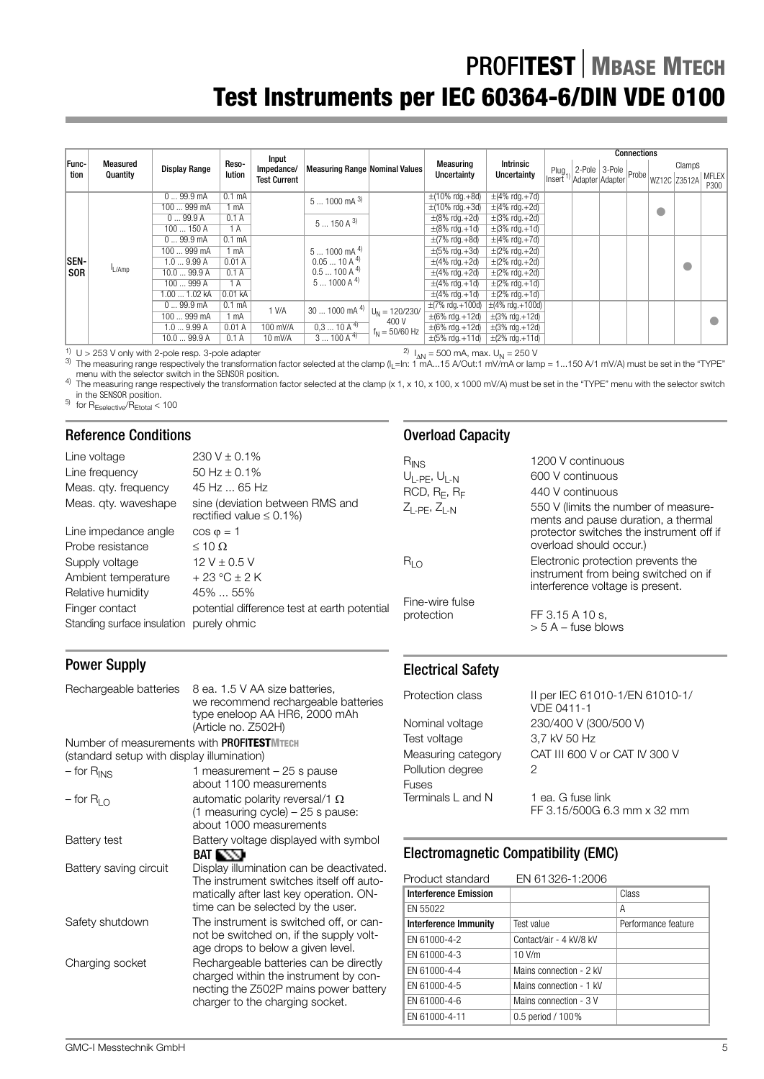|               |                      |                      |                    |                                            |                                       |                  |                                           |                                    |                                     |                                                     | <b>Connections</b> |              |           |                      |                    |                    |  |  |  |  |  |  |
|---------------|----------------------|----------------------|--------------------|--------------------------------------------|---------------------------------------|------------------|-------------------------------------------|------------------------------------|-------------------------------------|-----------------------------------------------------|--------------------|--------------|-----------|----------------------|--------------------|--------------------|--|--|--|--|--|--|
| Func-<br>tion | Measured<br>Quantity | <b>Display Range</b> | Reso-<br>lution    | Input<br>Impedance/<br><b>Test Current</b> | <b>Measuring Range Nominal Values</b> |                  | <b>Measuring</b><br>Uncertainty           | <b>Intrinsic</b><br>Uncertainty    | $Plug_{41}$<br>Insert <sup>1)</sup> | $\therefore$ 2-Pole 3-Pole Probe<br>Adapter Adapter |                    | WZ12C Z3512A | ClampS    | <b>MFLEX</b><br>P300 |                    |                    |  |  |  |  |  |  |
|               |                      | 099.9mA              | 0.1 <sub>m</sub> A |                                            | $51000$ mA $^{3)}$                    |                  | $\pm(10\% \text{ rdg.} + 8d)$             | $\pm$ (4% rdg.+7d)                 |                                     |                                                     |                    |              |           |                      |                    |                    |  |  |  |  |  |  |
|               |                      | 100  999 mA          | mA                 |                                            |                                       |                  | $\pm(10\% \text{ rdg.} + 3d)$             | $\pm$ (4% rdg. +2d)                |                                     |                                                     |                    |              |           |                      |                    |                    |  |  |  |  |  |  |
|               |                      | 099.9A               | 0.1A               |                                            | $5150A^{3}$                           |                  | $\pm(8\% \text{ rdg.} + 2d)$              | $\pm$ (3% rdg.+2d)                 |                                     |                                                     |                    |              |           |                      |                    |                    |  |  |  |  |  |  |
|               |                      | 100  150 A           | 1A                 |                                            |                                       |                  |                                           |                                    |                                     |                                                     |                    |              |           |                      | $\pm$ (8% rdg.+1d) | $\pm$ (3% rdg.+1d) |  |  |  |  |  |  |
|               |                      | 099.9mA              | 0.1 <sub>m</sub> A |                                            |                                       |                  | $\pm(7\% \text{ rdg.} + 8d)$              | $\pm$ (4% rdg.+7d)                 |                                     |                                                     |                    |              |           |                      |                    |                    |  |  |  |  |  |  |
|               |                      | 100  999 mA          | mA                 |                                            | $51000$ mA $^{4)}$                    |                  | $\pm(5\% \text{ rdg.} + 3d)$              | $\pm$ (2% rdg.+2d)                 |                                     |                                                     |                    |              |           |                      |                    |                    |  |  |  |  |  |  |
| <b>SEN-</b>   |                      | 1.09.99A             | 0.01A              |                                            | $0.0510A^{4}$                         |                  | $\pm$ (4% rdg.+2d)                        | $\pm$ (2% rdg.+2d)                 |                                     |                                                     |                    |              | $\bullet$ |                      |                    |                    |  |  |  |  |  |  |
| <b>SOR</b>    | L/Amp                | 10.099.9A            | 0.1A               |                                            | $0.5100A^{4}$                         |                  | $\pm(4\% \text{ rdg.} + 2d)$              | $\pm$ (2% rdg.+2d)                 |                                     |                                                     |                    |              |           |                      |                    |                    |  |  |  |  |  |  |
|               |                      | 100  999 A           | 1 A                |                                            | $51000A^{4}$                          |                  | $\pm$ (4% rdg.+1d)                        | $\pm$ (2% rdg.+1d)                 |                                     |                                                     |                    |              |           |                      |                    |                    |  |  |  |  |  |  |
|               |                      | 1.00  1.02 kA        | 0.01 <sub>kA</sub> |                                            |                                       |                  | $\pm$ (4% rdg.+1d)                        | $\pm$ (2% rdg.+1d)                 |                                     |                                                     |                    |              |           |                      |                    |                    |  |  |  |  |  |  |
|               |                      | 099.9mA              | 0.1 <sub>m</sub> A | 1 V/A                                      | $301000$ mA $4)$                      | $U_N = 120/230/$ | $\pm$ (7% rdg.+100d) $\pm$ (4% rdg.+100d) |                                    |                                     |                                                     |                    |              |           |                      |                    |                    |  |  |  |  |  |  |
|               |                      | 100  999 mA          | mA                 |                                            |                                       | 400 V            | $\pm (6\% \text{ rdg.} + 12d)$            | $\pm(3\% \text{ rdg.}+12\text{d})$ |                                     |                                                     |                    |              |           |                      |                    |                    |  |  |  |  |  |  |
|               |                      | 1.09.99A             | 0.01A              | 100 mV/A                                   | $0,310A^{4}$                          | $f_N = 50/60$ Hz | $\pm (6\% \text{ rdg.} + 12d)$            | $\pm$ (3% rdg.+12d)                |                                     |                                                     |                    |              |           |                      |                    |                    |  |  |  |  |  |  |
|               |                      | 10.099.9A            | 0.1A               | 10 mV/A                                    | $3100A^{4}$                           |                  | $\pm(5\% \text{ rdq.} + 11\text{d})$      | $\pm$ (2% rdg.+11d)                |                                     |                                                     |                    |              |           |                      |                    |                    |  |  |  |  |  |  |

<sup>1)</sup> U > 253 V only with 2-pole resp. 3-pole adapter  $^{2)}$   $_{\text{AN}}$  = 500 mA, max. U<sub>N</sub> = 250 V<br><sup>3)</sup> The measuring range respectively the transformation factor selected at the clamp (I<sub>L</sub>=In: 1 mA...15 A/Out:1 mV/mA or la

menu with the selector switch in the SENSOR position.<br>
<sup>4)</sup> The measuring range respectively the transformation factor selected at the clamp (x 1, x 10, x 100, x 1000 mV/A) must be set in the "TYPE" menu with the selector

 $\frac{5}{10}$  for  $R_{\text{Eselective}}/R_{\text{Etotal}} < 100$ 

## Reference Conditions

| Line voltage<br>Line frequency<br>Meas. qty. frequency<br>Meas. qty. waveshape | $230 V \pm 0.1\%$<br>50 Hz $\pm$ 0.1%<br>45 Hz  65 Hz<br>sine (deviation between RMS and<br>rectified value $\leq 0.1\%$ ) | $R_{INS}$<br>$U_{L-PE}$ , $U_{L-N}$<br>$RCD, R_F, R_F$<br>$Z_{L-PE}$ , $Z_{L-N}$ | 1200 V continuous<br>600 V continuous<br>440 V continuous<br>550 V (limits the number of measure-<br>ments and pause duration, a thermal |
|--------------------------------------------------------------------------------|----------------------------------------------------------------------------------------------------------------------------|----------------------------------------------------------------------------------|------------------------------------------------------------------------------------------------------------------------------------------|
| Line impedance angle<br>Probe resistance                                       | $\cos \varphi = 1$<br>$\leq 10 \Omega$                                                                                     |                                                                                  | protector switches the instrument off if<br>overload should occur.)                                                                      |
| Supply voltage<br>Ambient temperature                                          | $12 V \pm 0.5 V$<br>$+23 °C \pm 2 K$                                                                                       | $R_{LO}$                                                                         | Electronic protection prevents the<br>instrument from being switched on if<br>interference voltage is present.                           |
| Relative humidity<br>Finger contact<br>Standing surface insulation             | 45%  55%<br>potential difference test at earth potential<br>purely ohmic                                                   | Fine-wire fulse<br>protection                                                    | FF 3.15 A 10 s.<br>$>$ 5 A – fuse blows                                                                                                  |

## Power Supply

Rechargeable batteries 8 ea. 1.5 V AA size batteries, we recommend rechargeable batteries type eneloop AA HR6, 2000 mAh (Article no. Z502H) Number of measurements with PROFI**TESTMTECH** (standard setup with display illumination)

| $-$ for $R_{INS}$      | 1 measurement $-25$ s pause<br>about 1100 measurements                                                                                                               |
|------------------------|----------------------------------------------------------------------------------------------------------------------------------------------------------------------|
| – for R <sub>LO</sub>  | automatic polarity reversal/1 Ω<br>(1 measuring cycle) $-25$ s pause:<br>about 1000 measurements                                                                     |
| Battery test           | Battery voltage displayed with symbol<br>BAT IN TH                                                                                                                   |
| Battery saving circuit | Display illumination can be deactivated.<br>The instrument switches itself off auto-<br>matically after last key operation. ON-<br>time can be selected by the user. |
| Safety shutdown        | The instrument is switched off, or can-<br>not be switched on, if the supply volt-<br>age drops to below a given level.                                              |
| Charging socket        | Rechargeable batteries can be directly<br>charged within the instrument by con-<br>necting the Z502P mains power battery<br>charger to the charging socket.          |

## Electrical Safety

Overload Capacity

Test voltage 3,7 kV 50 Hz Pollution degree 2 Fuses Terminals L and N 1 ea. G fuse link

Protection class II per IEC 61010-1/EN 61010-1/ VDE 0411-1 Nominal voltage 230/400 V (300/500 V) Measuring category CAT III 600 V or CAT IV 300 V

FF 3.15/500G 6.3 mm x 32 mm

## Electromagnetic Compatibility (EMC)

| Product standard      | EN 61326-1:2006         |                     |
|-----------------------|-------------------------|---------------------|
| Interference Emission |                         | Class               |
| EN 55022              |                         | А                   |
| Interference Immunity | Test value              | Performance feature |
| EN 61000-4-2          | Contact/air - 4 kV/8 kV |                     |
| EN 61000-4-3          | $10$ V/m                |                     |
| EN 61000-4-4          | Mains connection - 2 kV |                     |
| EN 61000-4-5          | Mains connection - 1 kV |                     |
| EN 61000-4-6          | Mains connection - 3 V  |                     |
| EN 61000-4-11         | 0.5 period / 100%       |                     |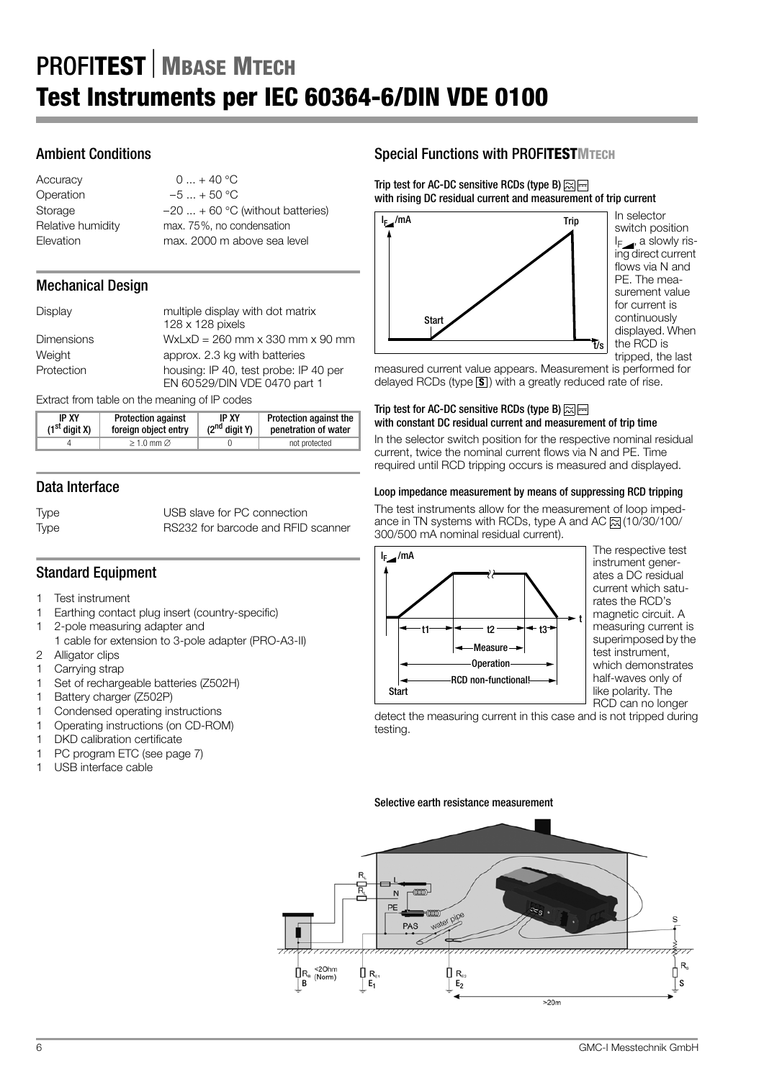## Ambient Conditions

| Accuracy          | $0 + 40$ °C                       |
|-------------------|-----------------------------------|
| Operation         | $-5 + 50$ °C                      |
| Storage           | $-20$ + 60 °C (without batteries) |
| Relative humidity | max. 75%, no condensation         |
| Elevation         | max. 2000 m above sea level       |
|                   |                                   |

## Mechanical Design

| Display           | multiple display with dot matrix<br>128 x 128 pixels                  |
|-------------------|-----------------------------------------------------------------------|
| <b>Dimensions</b> | $WxLxD = 260$ mm x 330 mm x 90 mm                                     |
| Weight            | approx. 2.3 kg with batteries                                         |
| Protection        | housing: IP 40, test probe: IP 40 per<br>EN 60529/DIN VDE 0470 part 1 |

Extract from table on the meaning of IP codes

| <b>IP XY</b>    | <b>Protection against</b> | <b>IP XY</b>       | Protection against the |
|-----------------|---------------------------|--------------------|------------------------|
| $(1st$ digit X) | foreign object entry      | $(2^{nd}$ digit Y) | penetration of water   |
|                 | $>1.0$ mm $\varnothing$   |                    |                        |

## Data Interface

Type USB slave for PC connection Type RS232 for barcode and RFID scanner

## Standard Equipment

- 1 Test instrument
- 1 Earthing contact plug insert (country-specific)
- 1 2-pole measuring adapter and
- 1 cable for extension to 3-pole adapter (PRO-A3-II)
- 2 Alligator clips
- 1 Carrying strap 1 Set of rechargeable batteries (Z502H)
- 
- 1 Battery charger (Z502P)
- 1 Condensed operating instructions 1 Operating instructions (on CD-ROM)
- 
- 1 DKD calibration certificate 1 PC program ETC (see page 7)
- 1 USB interface cable

## Special Functions with PROFI**TESTMTECH**

Trip test for AC-DC sensitive RCDs (type B)  $\approx \equiv$ with rising DC residual current and measurement of trip current



In selector switch position  $I_F$ , a slowly rising direct current flows via N and PE. The measurement value for current is continuously displayed. When the RCD is tripped, the last

measured current value appears. Measurement is performed for delayed RCDs (type  $\boxed{\mathbf{s}}$ ) with a greatly reduced rate of rise.

### Trip test for AC-DC sensitive RCDs (type B)  $\approx \equiv$ with constant DC residual current and measurement of trip time

In the selector switch position for the respective nominal residual current, twice the nominal current flows via N and PE. Time required until RCD tripping occurs is measured and displayed.

## Loop impedance measurement by means of suppressing RCD tripping

The test instruments allow for the measurement of loop impedance in TN systems with RCDs, type A and AC  $\approx$  (10/30/100/ 300/500 mA nominal residual current).



The respective test instrument generates a DC residual current which saturates the RCD's magnetic circuit. A measuring current is superimposed by the test instrument, which demonstrates half-waves only of like polarity. The RCD can no longer

detect the measuring current in this case and is not tripped during testing.

## Selective earth resistance measurement

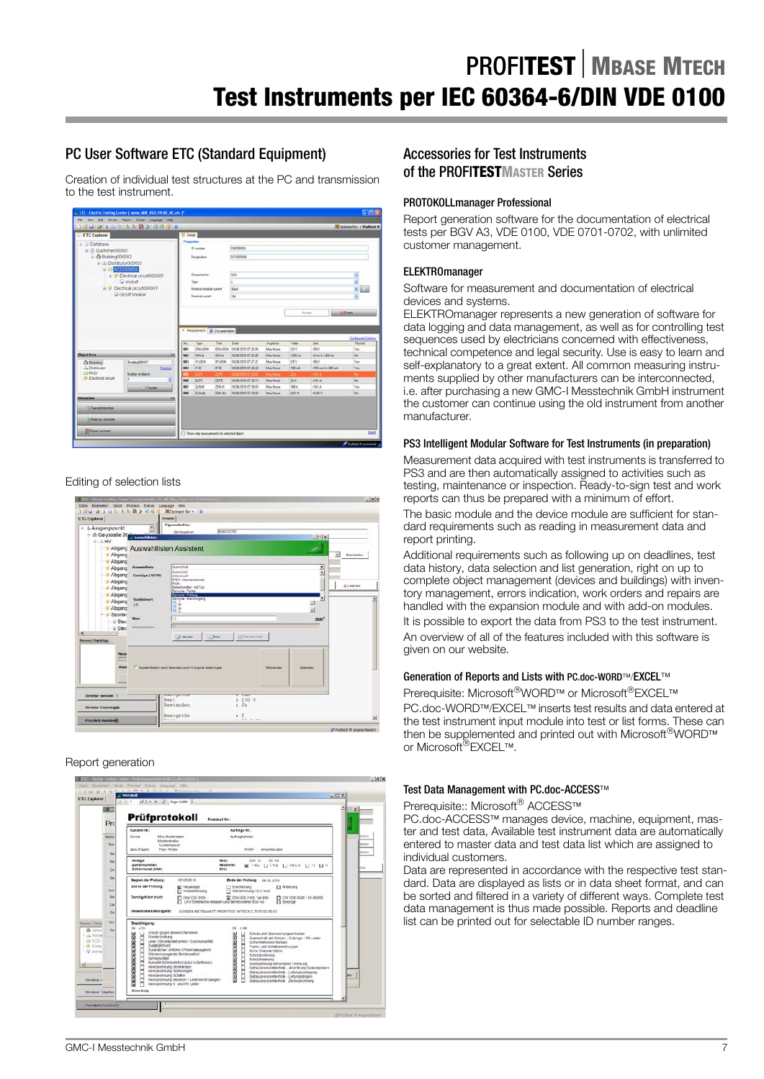## PC User Software ETC (Standard Equipment)

Creation of individual test structures at the PC and transmission to the test instrument.



## Editing of selection lists



## Report generation



## Accessories for Test Instruments of the PROFI**TESTMASTER** Series

## PROTOKOLLmanager Professional

Report generation software for the documentation of electrical tests per BGV A3, VDE 0100, VDE 0701-0702, with unlimited customer management.

### ELEKTROmanager

Software for measurement and documentation of electrical devices and systems.

ELEKTROmanager represents a new generation of software for data logging and data management, as well as for controlling test sequences used by electricians concerned with effectiveness, technical competence and legal security. Use is easy to learn and self-explanatory to a great extent. All common measuring instruments supplied by other manufacturers can be interconnected, i.e. after purchasing a new GMC-I Messtechnik GmbH instrument the customer can continue using the old instrument from another manufacturer.

### PS3 Intelligent Modular Software for Test Instruments (in preparation)

Measurement data acquired with test instruments is transferred to PS3 and are then automatically assigned to activities such as testing, maintenance or inspection. Ready-to-sign test and work reports can thus be prepared with a minimum of effort.

The basic module and the device module are sufficient for standard requirements such as reading in measurement data and report printing.

Additional requirements such as following up on deadlines, test data history, data selection and list generation, right on up to complete object management (devices and buildings) with inventory management, errors indication, work orders and repairs are handled with the expansion module and with add-on modules.

It is possible to export the data from PS3 to the test instrument. An overview of all of the features included with this software is given on our website.

## Generation of Reports and Lists with PC.doc-WORD™/EXCEL™

Prerequisite: Microsoft®WORD™ or Microsoft®EXCEL™ PC.doc-WORD™/EXCEL™ inserts test results and data entered at the test instrument input module into test or list forms. These can then be supplemented and printed out with Microsoft<sup>®</sup>WORD™ or Microsoft<sup>®</sup>EXCEL™.

#### Test Data Management with PC.doc-ACCESS™

Prerequisite:: Microsoft<sup>®</sup> ACCESS™

PC.doc-ACCESS™ manages device, machine, equipment, master and test data, Available test instrument data are automatically entered to master data and test data list which are assigned to individual customers.

Data are represented in accordance with the respective test standard. Data are displayed as lists or in data sheet format, and can be sorted and filtered in a variety of different ways. Complete test data management is thus made possible. Reports and deadline list can be printed out for selectable ID number ranges.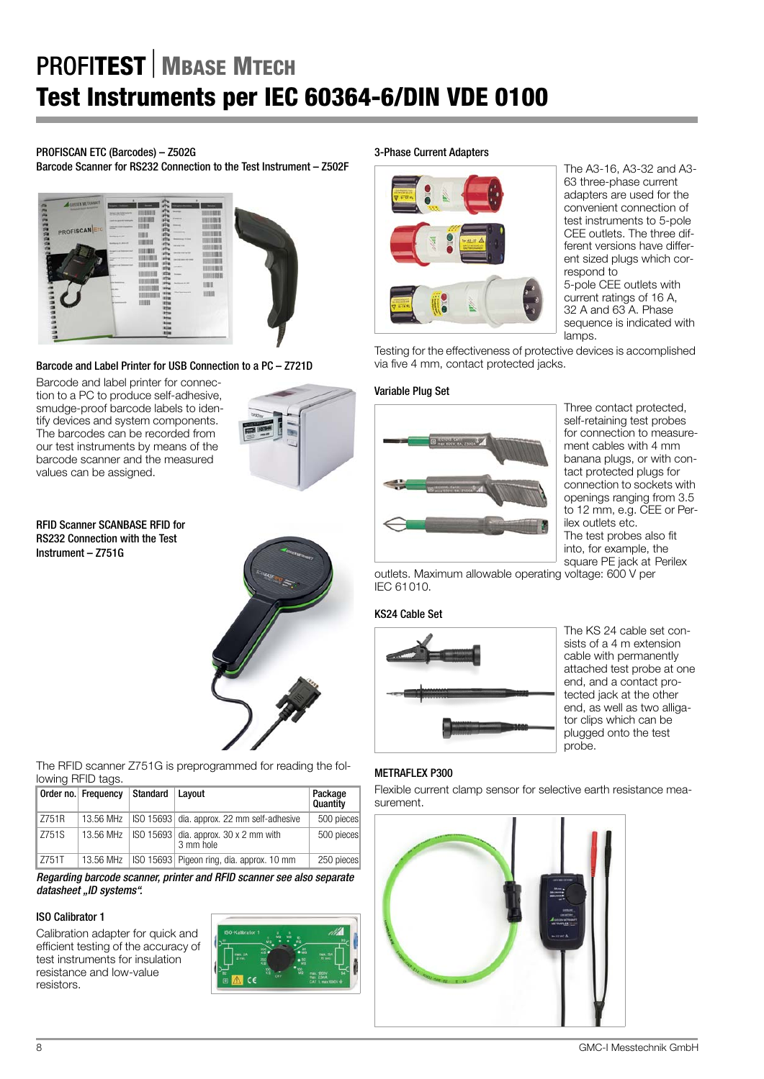## PROFISCAN ETC (Barcodes) – Z502G

Barcode Scanner for RS232 Connection to the Test Instrument – Z502F



Barcode and Label Printer for USB Connection to a PC – Z721D

Barcode and label printer for connection to a PC to produce self-adhesive, smudge-proof barcode labels to identify devices and system components. The barcodes can be recorded from our test instruments by means of the barcode scanner and the measured values can be assigned.



RFID Scanner SCANBASE RFID for RS232 Connection with the Test Instrument – Z751G



The RFID scanner Z751G is preprogrammed for reading the following RFID tags.

|              | Order no. Frequency | Standard | Lavout                                                 | Package<br>Quantity | Flexible cu<br>surement. |
|--------------|---------------------|----------|--------------------------------------------------------|---------------------|--------------------------|
| ll Z751R     | 13.56 MHz           |          | ISO 15693 dia. approx. 22 mm self-adhesive             | 500 pieces          |                          |
| <b>Z751S</b> | 13.56 MHz           |          | $ SO\ 15693 $ dia. approx. 30 x 2 mm with<br>3 mm hole | 500 pieces          |                          |
| l Z751T      | 13.56 MHz           |          | ISO 15693 Pigeon ring, dia. approx. 10 mm              | 250 pieces          |                          |

Regarding barcode scanner, printer and RFID scanner see also separate datasheet "ID systems".

## ISO Calibrator 1

Calibration adapter for quick and efficient testing of the accuracy of test instruments for insulation resistance and low-value resistors.



#### 3-Phase Current Adapters



The A3-16, A3-32 and A3- 63 three-phase current adapters are used for the convenient connection of test instruments to 5-pole CEE outlets. The three different versions have different sized plugs which correspond to 5-pole CEE outlets with current ratings of 16 A, 32 A and 63 A. Phase sequence is indicated with lamps

Testing for the effectiveness of protective devices is accomplished via five 4 mm, contact protected jacks.

## Variable Plug Set



Three contact protected, self-retaining test probes for connection to measurement cables with 4 mm banana plugs, or with contact protected plugs for connection to sockets with openings ranging from 3.5 to 12 mm, e.g. CEE or Perilex outlets etc. The test probes also fit into, for example, the square PE jack at Perilex

outlets. Maximum allowable operating voltage: 600 V per IEC 61010.

## KS24 Cable Set



The KS 24 cable set consists of a 4 m extension cable with permanently attached test probe at one end, and a contact protected jack at the other end, as well as two alligator clips which can be plugged onto the test probe.

## METRAFLEX P300

Flexible current clamp sensor for selective earth resistance mea-

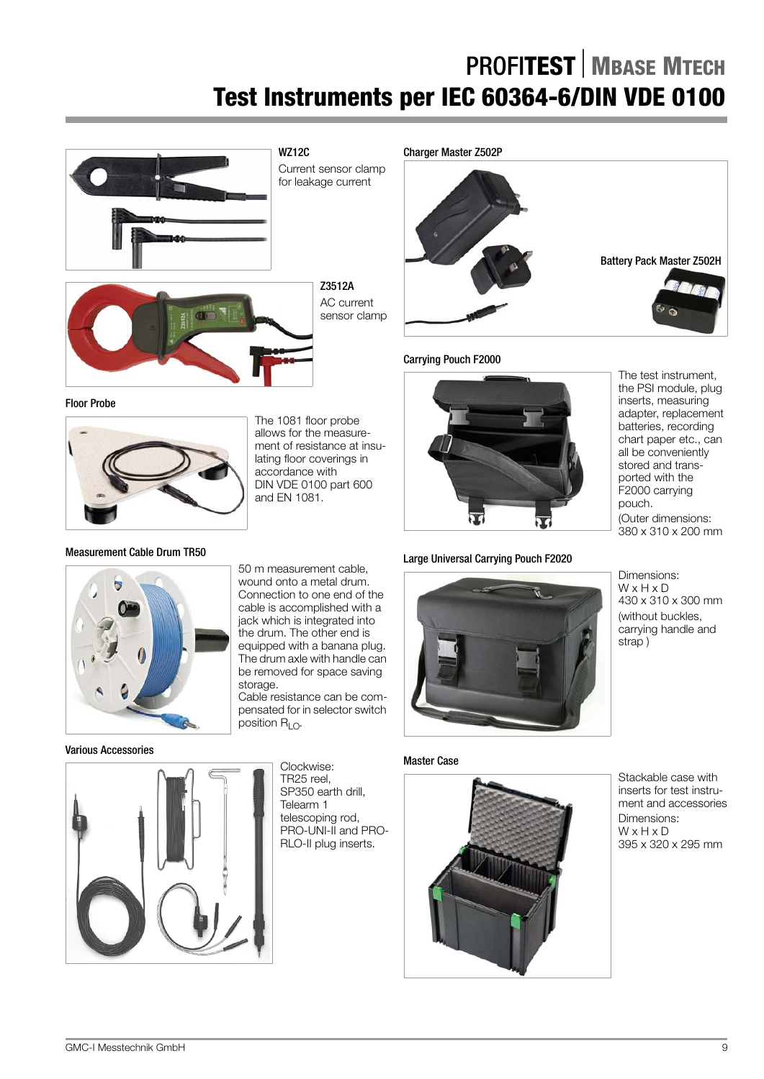

Current sensor clamp for leakage current

> Z3512A AC current sensor clamp





The 1081 floor probe allows for the measurement of resistance at insulating floor coverings in accordance with DIN VDE 0100 part 600 and EN 1081.



### Carrying Pouch F2000



## Large Universal Carrying Pouch F2020

The test instrument, the PSI module, plug inserts, measuring adapter, replacement batteries, recording chart paper etc., can all be conveniently stored and transported with the F2000 carrying pouch. (Outer dimensions: 380 x 310 x 200 mm

Measurement Cable Drum TR50

#### Various Accessories



50 m measurement cable, wound onto a metal drum. Connection to one end of the cable is accomplished with a jack which is integrated into the drum. The other end is equipped with a banana plug. The drum axle with handle can be removed for space saving storage.

Cable resistance can be compensated for in selector switch position  $R_{LO}$ .

> Clockwise: TR25 reel, SP350 earth drill, Telearm 1

## Master Case



Dimensions: W x H x D 430 x 310 x 300 mm (without buckles, carrying handle and strap )

Stackable case with inserts for test instrument and accessories 395 x 320 x 295 mm

Dimensions: W x H x D